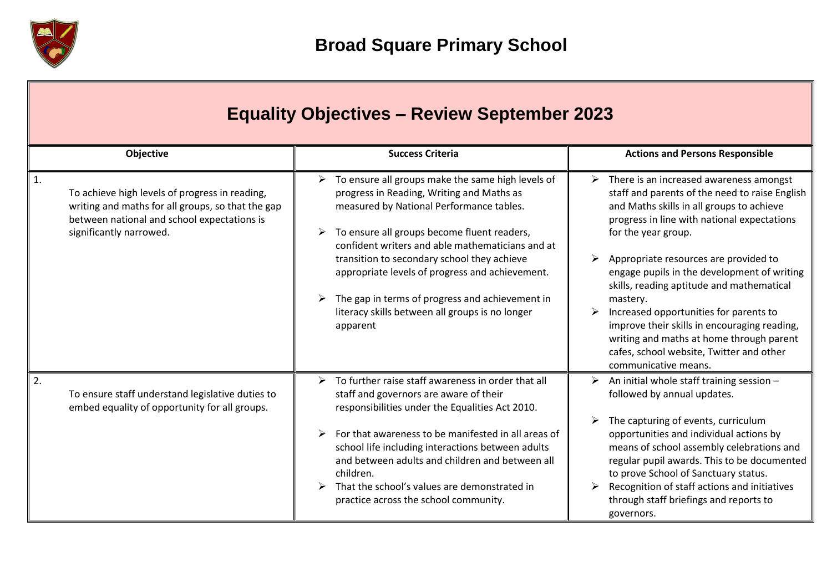

| <b>Equality Objectives - Review September 2023</b>                                                                                                                                              |                                                                                                                                                                                                                                                                                                                                                                                                                                                                                         |                                                                                                                                                                                                                                                                                                                                                                                                                                                                                                                                                                              |  |
|-------------------------------------------------------------------------------------------------------------------------------------------------------------------------------------------------|-----------------------------------------------------------------------------------------------------------------------------------------------------------------------------------------------------------------------------------------------------------------------------------------------------------------------------------------------------------------------------------------------------------------------------------------------------------------------------------------|------------------------------------------------------------------------------------------------------------------------------------------------------------------------------------------------------------------------------------------------------------------------------------------------------------------------------------------------------------------------------------------------------------------------------------------------------------------------------------------------------------------------------------------------------------------------------|--|
| Objective                                                                                                                                                                                       | <b>Success Criteria</b>                                                                                                                                                                                                                                                                                                                                                                                                                                                                 | <b>Actions and Persons Responsible</b>                                                                                                                                                                                                                                                                                                                                                                                                                                                                                                                                       |  |
| $\mathbf{1}$ .<br>To achieve high levels of progress in reading,<br>writing and maths for all groups, so that the gap<br>between national and school expectations is<br>significantly narrowed. | $\triangleright$ To ensure all groups make the same high levels of<br>progress in Reading, Writing and Maths as<br>measured by National Performance tables.<br>To ensure all groups become fluent readers,<br>➤<br>confident writers and able mathematicians and at<br>transition to secondary school they achieve<br>appropriate levels of progress and achievement.<br>The gap in terms of progress and achievement in<br>literacy skills between all groups is no longer<br>apparent | There is an increased awareness amongst<br>➤<br>staff and parents of the need to raise English<br>and Maths skills in all groups to achieve<br>progress in line with national expectations<br>for the year group.<br>Appropriate resources are provided to<br>engage pupils in the development of writing<br>skills, reading aptitude and mathematical<br>mastery.<br>Increased opportunities for parents to<br>improve their skills in encouraging reading,<br>writing and maths at home through parent<br>cafes, school website, Twitter and other<br>communicative means. |  |
| 2.<br>To ensure staff understand legislative duties to<br>embed equality of opportunity for all groups.                                                                                         | $\triangleright$ To further raise staff awareness in order that all<br>staff and governors are aware of their<br>responsibilities under the Equalities Act 2010.<br>For that awareness to be manifested in all areas of<br>school life including interactions between adults<br>and between adults and children and between all<br>children.<br>That the school's values are demonstrated in<br>practice across the school community.                                                   | $\triangleright$ An initial whole staff training session -<br>followed by annual updates.<br>The capturing of events, curriculum<br>opportunities and individual actions by<br>means of school assembly celebrations and<br>regular pupil awards. This to be documented<br>to prove School of Sanctuary status.<br>Recognition of staff actions and initiatives<br>through staff briefings and reports to<br>governors.                                                                                                                                                      |  |